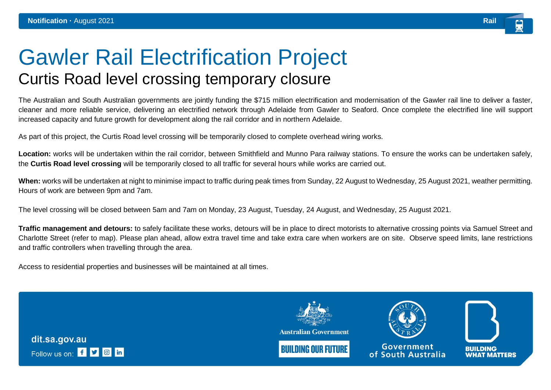## Gawler Rail Electrification Project Curtis Road level crossing temporary closure

The Australian and South Australian governments are jointly funding the \$715 million electrification and modernisation of the Gawler rail line to deliver a faster, cleaner and more reliable service, delivering an electrified network through Adelaide from Gawler to Seaford. Once complete the electrified line will support increased capacity and future growth for development along the rail corridor and in northern Adelaide.

As part of this project, the Curtis Road level crossing will be temporarily closed to complete overhead wiring works.

**Location:** works will be undertaken within the rail corridor, between Smithfield and Munno Para railway stations. To ensure the works can be undertaken safely, the **Curtis Road level crossing** will be temporarily closed to all traffic for several hours while works are carried out.

**When:** works will be undertaken at night to minimise impact to traffic during peak times from Sunday, 22 August to Wednesday, 25 August 2021, weather permitting. Hours of work are between 9pm and 7am.

The level crossing will be closed between 5am and 7am on Monday, 23 August, Tuesday, 24 August, and Wednesday, 25 August 2021.

**Traffic management and detours:** to safely facilitate these works, detours will be in place to direct motorists to alternative crossing points via Samuel Street and Charlotte Street (refer to map). Please plan ahead, allow extra travel time and take extra care when workers are on site. Observe speed limits, lane restrictions and traffic controllers when travelling through the area.

Access to residential properties and businesses will be maintained at all times.